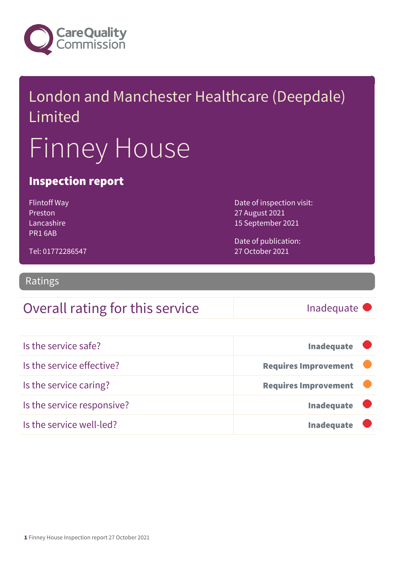

# London and Manchester Healthcare (Deepdale) Limited Finney House

### Inspection report

Flintoff Way Preston Lancashire PR1 6AB

Date of inspection visit: 27 August 2021 15 September 2021

Date of publication: 27 October 2021

Tel: 01772286547

Ratings

### Overall rating for this service Inadequate

| Is the service safe?       | <b>Inadequate</b>           |
|----------------------------|-----------------------------|
| Is the service effective?  | <b>Requires Improvement</b> |
| Is the service caring?     | <b>Requires Improvement</b> |
| Is the service responsive? | Inadequate <b>U</b>         |
| Is the service well-led?   | <b>Inadequate</b>           |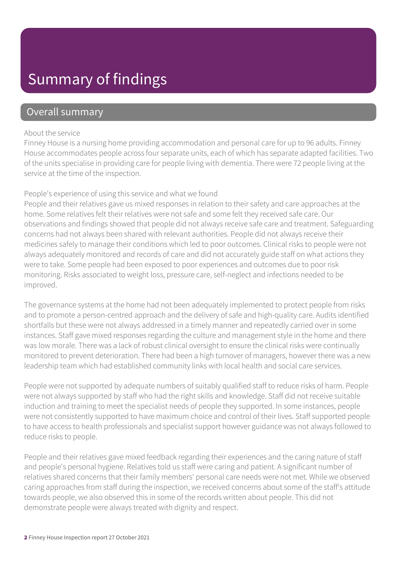### Summary of findings

### Overall summary

#### About the service

Finney House is a nursing home providing accommodation and personal care for up to 96 adults. Finney House accommodates people across four separate units, each of which has separate adapted facilities. Two of the units specialise in providing care for people living with dementia. There were 72 people living at the service at the time of the inspection.

#### People's experience of using this service and what we found

People and their relatives gave us mixed responses in relation to their safety and care approaches at the home. Some relatives felt their relatives were not safe and some felt they received safe care. Our observations and findings showed that people did not always receive safe care and treatment. Safeguarding concerns had not always been shared with relevant authorities. People did not always receive their medicines safely to manage their conditions which led to poor outcomes. Clinical risks to people were not always adequately monitored and records of care and did not accurately guide staff on what actions they were to take. Some people had been exposed to poor experiences and outcomes due to poor risk monitoring. Risks associated to weight loss, pressure care, self-neglect and infections needed to be improved.

The governance systems at the home had not been adequately implemented to protect people from risks and to promote a person-centred approach and the delivery of safe and high-quality care. Audits identified shortfalls but these were not always addressed in a timely manner and repeatedly carried over in some instances. Staff gave mixed responses regarding the culture and management style in the home and there was low morale. There was a lack of robust clinical oversight to ensure the clinical risks were continually monitored to prevent deterioration. There had been a high turnover of managers, however there was a new leadership team which had established community links with local health and social care services.

People were not supported by adequate numbers of suitably qualified staff to reduce risks of harm. People were not always supported by staff who had the right skills and knowledge. Staff did not receive suitable induction and training to meet the specialist needs of people they supported. In some instances, people were not consistently supported to have maximum choice and control of their lives. Staff supported people to have access to health professionals and specialist support however guidance was not always followed to reduce risks to people.

People and their relatives gave mixed feedback regarding their experiences and the caring nature of staff and people's personal hygiene. Relatives told us staff were caring and patient. A significant number of relatives shared concerns that their family members' personal care needs were not met. While we observed caring approaches from staff during the inspection, we received concerns about some of the staff's attitude towards people, we also observed this in some of the records written about people. This did not demonstrate people were always treated with dignity and respect.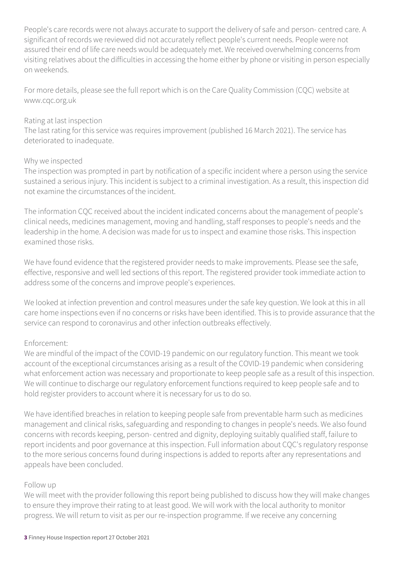People's care records were not always accurate to support the delivery of safe and person- centred care. A significant of records we reviewed did not accurately reflect people's current needs. People were not assured their end of life care needs would be adequately met. We received overwhelming concerns from visiting relatives about the difficulties in accessing the home either by phone or visiting in person especially on weekends.

For more details, please see the full report which is on the Care Quality Commission (CQC) website at www.cqc.org.uk

#### Rating at last inspection

The last rating for this service was requires improvement (published 16 March 2021). The service has deteriorated to inadequate.

#### Why we inspected

The inspection was prompted in part by notification of a specific incident where a person using the service sustained a serious injury. This incident is subject to a criminal investigation. As a result, this inspection did not examine the circumstances of the incident.

The information CQC received about the incident indicated concerns about the management of people's clinical needs, medicines management, moving and handling, staff responses to people's needs and the leadership in the home. A decision was made for us to inspect and examine those risks. This inspection examined those risks.

We have found evidence that the registered provider needs to make improvements. Please see the safe, effective, responsive and well led sections of this report. The registered provider took immediate action to address some of the concerns and improve people's experiences.

We looked at infection prevention and control measures under the safe key question. We look at this in all care home inspections even if no concerns or risks have been identified. This is to provide assurance that the service can respond to coronavirus and other infection outbreaks effectively.

#### Enforcement:

We are mindful of the impact of the COVID-19 pandemic on our regulatory function. This meant we took account of the exceptional circumstances arising as a result of the COVID-19 pandemic when considering what enforcement action was necessary and proportionate to keep people safe as a result of this inspection. We will continue to discharge our regulatory enforcement functions required to keep people safe and to hold register providers to account where it is necessary for us to do so.

We have identified breaches in relation to keeping people safe from preventable harm such as medicines management and clinical risks, safeguarding and responding to changes in people's needs. We also found concerns with records keeping, person- centred and dignity, deploying suitably qualified staff, failure to report incidents and poor governance at this inspection. Full information about CQC's regulatory response to the more serious concerns found during inspections is added to reports after any representations and appeals have been concluded.

#### Follow up

We will meet with the provider following this report being published to discuss how they will make changes to ensure they improve their rating to at least good. We will work with the local authority to monitor progress. We will return to visit as per our re-inspection programme. If we receive any concerning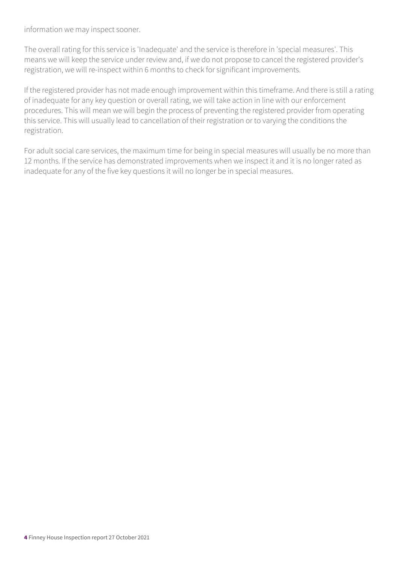information we may inspect sooner.

The overall rating for this service is 'Inadequate' and the service is therefore in 'special measures'. This means we will keep the service under review and, if we do not propose to cancel the registered provider's registration, we will re-inspect within 6 months to check for significant improvements.

If the registered provider has not made enough improvement within this timeframe. And there is still a rating of inadequate for any key question or overall rating, we will take action in line with our enforcement procedures. This will mean we will begin the process of preventing the registered provider from operating this service. This will usually lead to cancellation of their registration or to varying the conditions the registration.

For adult social care services, the maximum time for being in special measures will usually be no more than 12 months. If the service has demonstrated improvements when we inspect it and it is no longer rated as inadequate for any of the five key questions it will no longer be in special measures.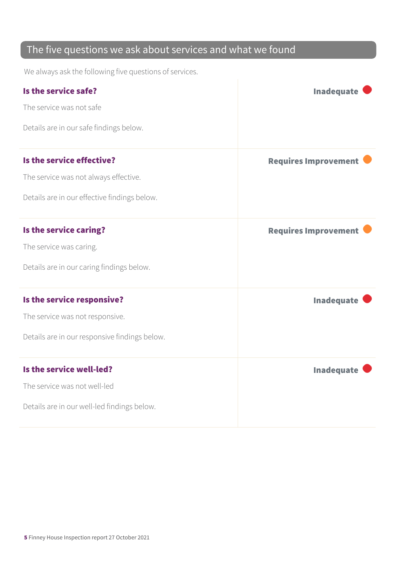### The five questions we ask about services and what we found

We always ask the following five questions of services.

| Is the service safe?                          | <b>Inadequate</b>           |
|-----------------------------------------------|-----------------------------|
| The service was not safe                      |                             |
| Details are in our safe findings below.       |                             |
| Is the service effective?                     | <b>Requires Improvement</b> |
| The service was not always effective.         |                             |
| Details are in our effective findings below.  |                             |
| Is the service caring?                        | <b>Requires Improvement</b> |
| The service was caring.                       |                             |
| Details are in our caring findings below.     |                             |
| Is the service responsive?                    | <b>Inadequate</b>           |
| The service was not responsive.               |                             |
| Details are in our responsive findings below. |                             |
| Is the service well-led?                      | <b>Inadequate</b>           |
| The service was not well-led                  |                             |
| Details are in our well-led findings below.   |                             |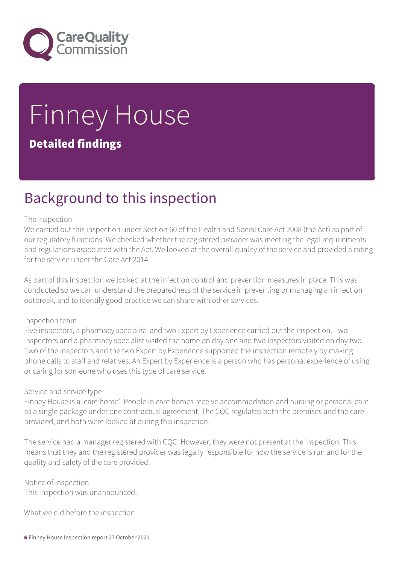

# Finney House Detailed findings

### Background to this inspection

#### The inspection

We carried out this inspection under Section 60 of the Health and Social Care Act 2008 (the Act) as part of our regulatory functions. We checked whether the registered provider was meeting the legal requirements and regulations associated with the Act. We looked at the overall quality of the service and provided a rating for the service under the Care Act 2014.

As part of this inspection we looked at the infection control and prevention measures in place. This was conducted so we can understand the preparedness of the service in preventing or managing an infection outbreak, and to identify good practice we can share with other services.

#### Inspection team

Five inspectors, a pharmacy specialist and two Expert by Experience carried out the inspection. Two inspectors and a pharmacy specialist visited the home on day one and two inspectors visited on day two. Two of the inspectors and the two Expert by Experience supported the inspection remotely by making phone calls to staff and relatives. An Expert by Experience is a person who has personal experience of using or caring for someone who uses this type of care service.

#### Service and service type

Finney House is a 'care home'. People in care homes receive accommodation and nursing or personal care as a single package under one contractual agreement. The CQC regulates both the premises and the care provided, and both were looked at during this inspection.

The service had a manager registered with CQC. However, they were not present at the inspection. This means that they and the registered provider was legally responsible for how the service is run and for the quality and safety of the care provided.

Notice of inspection This inspection was unannounced.

What we did before the inspection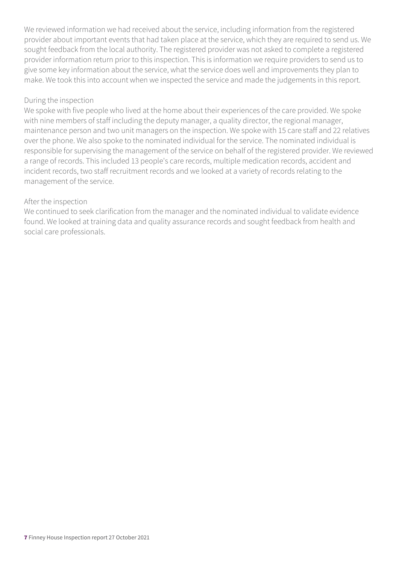We reviewed information we had received about the service, including information from the registered provider about important events that had taken place at the service, which they are required to send us. We sought feedback from the local authority. The registered provider was not asked to complete a registered provider information return prior to this inspection. This is information we require providers to send us to give some key information about the service, what the service does well and improvements they plan to make. We took this into account when we inspected the service and made the judgements in this report.

#### During the inspection

We spoke with five people who lived at the home about their experiences of the care provided. We spoke with nine members of staff including the deputy manager, a quality director, the regional manager, maintenance person and two unit managers on the inspection. We spoke with 15 care staff and 22 relatives over the phone. We also spoke to the nominated individual for the service. The nominated individual is responsible for supervising the management of the service on behalf of the registered provider. We reviewed a range of records. This included 13 people's care records, multiple medication records, accident and incident records, two staff recruitment records and we looked at a variety of records relating to the management of the service.

#### After the inspection

We continued to seek clarification from the manager and the nominated individual to validate evidence found. We looked at training data and quality assurance records and sought feedback from health and social care professionals.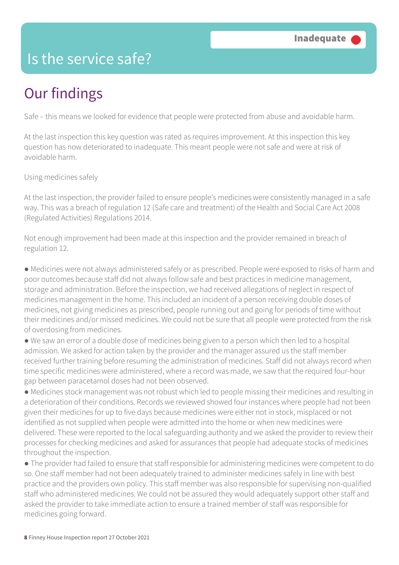### Is the service safe?

## Our findings

Safe – this means we looked for evidence that people were protected from abuse and avoidable harm.

At the last inspection this key question was rated as requires improvement. At this inspection this key question has now deteriorated to inadequate. This meant people were not safe and were at risk of avoidable harm.

Using medicines safely

At the last inspection, the provider failed to ensure people's medicines were consistently managed in a safe way. This was a breach of regulation 12 (Safe care and treatment) of the Health and Social Care Act 2008 (Regulated Activities) Regulations 2014.

Not enough improvement had been made at this inspection and the provider remained in breach of regulation 12.

● Medicines were not always administered safely or as prescribed. People were exposed to risks of harm and poor outcomes because staff did not always follow safe and best practices in medicine management, storage and administration. Before the inspection, we had received allegations of neglect in respect of medicines management in the home. This included an incident of a person receiving double doses of medicines, not giving medicines as prescribed, people running out and going for periods of time without their medicines and/or missed medicines. We could not be sure that all people were protected from the risk of overdosing from medicines.

● We saw an error of a double dose of medicines being given to a person which then led to a hospital admission. We asked for action taken by the provider and the manager assured us the staff member received further training before resuming the administration of medicines. Staff did not always record when time specific medicines were administered, where a record was made, we saw that the required four-hour gap between paracetamol doses had not been observed.

● Medicines stock management was not robust which led to people missing their medicines and resulting in a deterioration of their conditions. Records we reviewed showed four instances where people had not been given their medicines for up to five days because medicines were either not in stock, misplaced or not identified as not supplied when people were admitted into the home or when new medicines were delivered. These were reported to the local safeguarding authority and we asked the provider to review their processes for checking medicines and asked for assurances that people had adequate stocks of medicines throughout the inspection.

● The provider had failed to ensure that staff responsible for administering medicines were competent to do so. One staff member had not been adequately trained to administer medicines safely in line with best practice and the providers own policy. This staff member was also responsible for supervising non-qualified staff who administered medicines. We could not be assured they would adequately support other staff and asked the provider to take immediate action to ensure a trained member of staff was responsible for medicines going forward.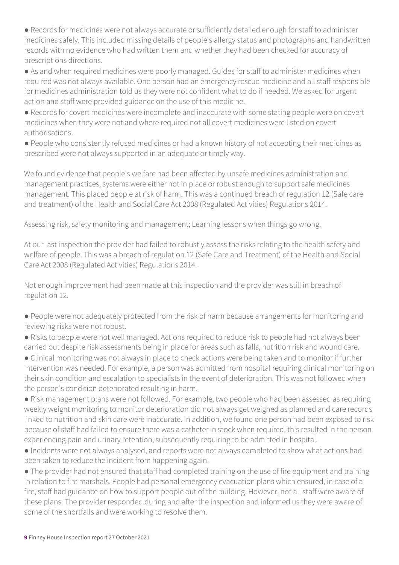● Records for medicines were not always accurate or sufficiently detailed enough for staff to administer medicines safely. This included missing details of people's allergy status and photographs and handwritten records with no evidence who had written them and whether they had been checked for accuracy of prescriptions directions.

● As and when required medicines were poorly managed. Guides for staff to administer medicines when required was not always available. One person had an emergency rescue medicine and all staff responsible for medicines administration told us they were not confident what to do if needed. We asked for urgent action and staff were provided guidance on the use of this medicine.

● Records for covert medicines were incomplete and inaccurate with some stating people were on covert medicines when they were not and where required not all covert medicines were listed on covert authorisations.

● People who consistently refused medicines or had a known history of not accepting their medicines as prescribed were not always supported in an adequate or timely way.

We found evidence that people's welfare had been affected by unsafe medicines administration and management practices, systems were either not in place or robust enough to support safe medicines management. This placed people at risk of harm. This was a continued breach of regulation 12 (Safe care and treatment) of the Health and Social Care Act 2008 (Regulated Activities) Regulations 2014.

Assessing risk, safety monitoring and management; Learning lessons when things go wrong.

At our last inspection the provider had failed to robustly assess the risks relating to the health safety and welfare of people. This was a breach of regulation 12 (Safe Care and Treatment) of the Health and Social Care Act 2008 (Regulated Activities) Regulations 2014.

Not enough improvement had been made at this inspection and the provider was still in breach of regulation 12.

- People were not adequately protected from the risk of harm because arrangements for monitoring and reviewing risks were not robust.
- Risks to people were not well managed. Actions required to reduce risk to people had not always been carried out despite risk assessments being in place for areas such as falls, nutrition risk and wound care.

● Clinical monitoring was not always in place to check actions were being taken and to monitor if further intervention was needed. For example, a person was admitted from hospital requiring clinical monitoring on their skin condition and escalation to specialists in the event of deterioration. This was not followed when the person's condition deteriorated resulting in harm.

● Risk management plans were not followed. For example, two people who had been assessed as requiring weekly weight monitoring to monitor deterioration did not always get weighed as planned and care records linked to nutrition and skin care were inaccurate. In addition, we found one person had been exposed to risk because of staff had failed to ensure there was a catheter in stock when required, this resulted in the person experiencing pain and urinary retention, subsequently requiring to be admitted in hospital.

● Incidents were not always analysed, and reports were not always completed to show what actions had been taken to reduce the incident from happening again.

● The provider had not ensured that staff had completed training on the use of fire equipment and training in relation to fire marshals. People had personal emergency evacuation plans which ensured, in case of a fire, staff had guidance on how to support people out of the building. However, not all staff were aware of these plans. The provider responded during and after the inspection and informed us they were aware of some of the shortfalls and were working to resolve them.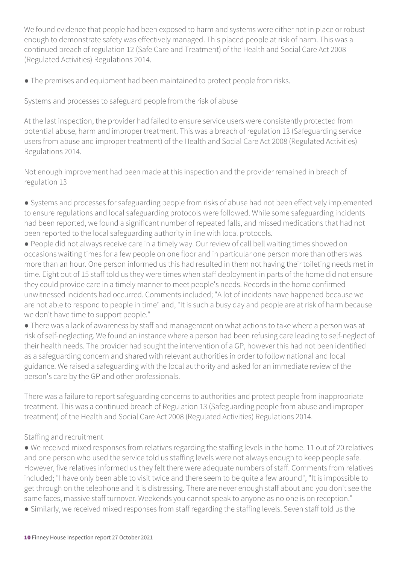We found evidence that people had been exposed to harm and systems were either not in place or robust enough to demonstrate safety was effectively managed. This placed people at risk of harm. This was a continued breach of regulation 12 (Safe Care and Treatment) of the Health and Social Care Act 2008 (Regulated Activities) Regulations 2014.

• The premises and equipment had been maintained to protect people from risks.

Systems and processes to safeguard people from the risk of abuse

At the last inspection, the provider had failed to ensure service users were consistently protected from potential abuse, harm and improper treatment. This was a breach of regulation 13 (Safeguarding service users from abuse and improper treatment) of the Health and Social Care Act 2008 (Regulated Activities) Regulations 2014.

Not enough improvement had been made at this inspection and the provider remained in breach of regulation 13

● Systems and processes for safeguarding people from risks of abuse had not been effectively implemented to ensure regulations and local safeguarding protocols were followed. While some safeguarding incidents had been reported, we found a significant number of repeated falls, and missed medications that had not been reported to the local safeguarding authority in line with local protocols.

● People did not always receive care in a timely way. Our review of call bell waiting times showed on occasions waiting times for a few people on one floor and in particular one person more than others was more than an hour. One person informed us this had resulted in them not having their toileting needs met in time. Eight out of 15 staff told us they were times when staff deployment in parts of the home did not ensure they could provide care in a timely manner to meet people's needs. Records in the home confirmed unwitnessed incidents had occurred. Comments included; "A lot of incidents have happened because we are not able to respond to people in time" and, "It is such a busy day and people are at risk of harm because we don't have time to support people."

● There was a lack of awareness by staff and management on what actions to take where a person was at risk of self-neglecting. We found an instance where a person had been refusing care leading to self-neglect of their health needs. The provider had sought the intervention of a GP, however this had not been identified as a safeguarding concern and shared with relevant authorities in order to follow national and local guidance. We raised a safeguarding with the local authority and asked for an immediate review of the person's care by the GP and other professionals.

There was a failure to report safeguarding concerns to authorities and protect people from inappropriate treatment. This was a continued breach of Regulation 13 (Safeguarding people from abuse and improper treatment) of the Health and Social Care Act 2008 (Regulated Activities) Regulations 2014.

#### Staffing and recruitment

● We received mixed responses from relatives regarding the staffing levels in the home. 11 out of 20 relatives and one person who used the service told us staffing levels were not always enough to keep people safe. However, five relatives informed us they felt there were adequate numbers of staff. Comments from relatives included; "I have only been able to visit twice and there seem to be quite a few around", "It is impossible to get through on the telephone and it is distressing. There are never enough staff about and you don't see the same faces, massive staff turnover. Weekends you cannot speak to anyone as no one is on reception."

• Similarly, we received mixed responses from staff regarding the staffing levels. Seven staff told us the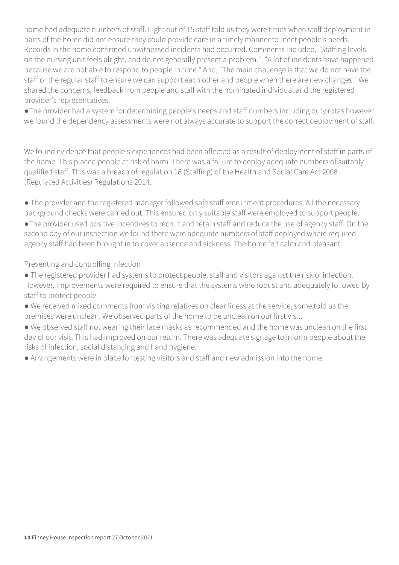home had adequate numbers of staff. Eight out of 15 staff told us they were times when staff deployment in parts of the home did not ensure they could provide care in a timely manner to meet people's needs. Records in the home confirmed unwitnessed incidents had occurred. Comments included, "Staffing levels on the nursing unit feels alright, and do not generally present a problem.", "A lot of incidents have happened because we are not able to respond to people in time." And, "The main challenge is that we do not have the staff or the regular staff to ensure we can support each other and people when there are new changes." We shared the concerns, feedback from people and staff with the nominated individual and the registered provider's representatives.

●The provider had a system for determining people's needs and staff numbers including duty rotas however we found the dependency assessments were not always accurate to support the correct deployment of staff.

We found evidence that people's experiences had been affected as a result of deployment of staff in parts of the home. This placed people at risk of harm. There was a failure to deploy adequate numbers of suitably qualified staff. This was a breach of regulation 18 (Staffing) of the Health and Social Care Act 2008 (Regulated Activities) Regulations 2014.

● The provider and the registered manager followed safe staff recruitment procedures. All the necessary background checks were carried out. This ensured only suitable staff were employed to support people. ●The provider used positive incentives to recruit and retain staff and reduce the use of agency staff. On the second day of our inspection we found there were adequate numbers of staff deployed where required agency staff had been brought in to cover absence and sickness. The home felt calm and pleasant.

Preventing and controlling infection

- The registered provider had systems to protect people, staff and visitors against the risk of infection. However, improvements were required to ensure that the systems were robust and adequately followed by staff to protect people.
- We received mixed comments from visiting relatives on cleanliness at the service, some told us the premises were unclean. We observed parts of the home to be unclean on our first visit.
- We observed staff not wearing their face masks as recommended and the home was unclean on the first day of our visit. This had improved on our return. There was adequate signage to inform people about the risks of infection, social distancing and hand hygiene.
- Arrangements were in place for testing visitors and staff and new admission into the home.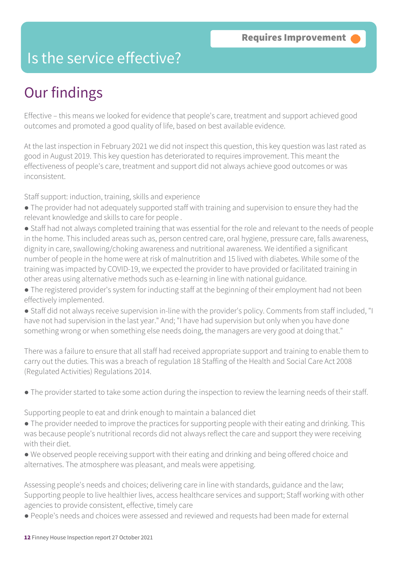### Is the service effective?

### Our findings

Effective – this means we looked for evidence that people's care, treatment and support achieved good outcomes and promoted a good quality of life, based on best available evidence.

At the last inspection in February 2021 we did not inspect this question, this key question was last rated as good in August 2019. This key question has deteriorated to requires improvement. This meant the effectiveness of people's care, treatment and support did not always achieve good outcomes or was inconsistent.

Staff support: induction, training, skills and experience

- The provider had not adequately supported staff with training and supervision to ensure they had the relevant knowledge and skills to care for people .
- Staff had not always completed training that was essential for the role and relevant to the needs of people in the home. This included areas such as, person centred care, oral hygiene, pressure care, falls awareness, dignity in care, swallowing/choking awareness and nutritional awareness. We identified a significant number of people in the home were at risk of malnutrition and 15 lived with diabetes. While some of the training was impacted by COVID-19, we expected the provider to have provided or facilitated training in other areas using alternative methods such as e-learning in line with national guidance.
- The registered provider's system for inducting staff at the beginning of their employment had not been effectively implemented.
- Staff did not always receive supervision in-line with the provider's policy. Comments from staff included, "I have not had supervision in the last year." And; "I have had supervision but only when you have done something wrong or when something else needs doing, the managers are very good at doing that."

There was a failure to ensure that all staff had received appropriate support and training to enable them to carry out the duties. This was a breach of regulation 18 Staffing of the Health and Social Care Act 2008 (Regulated Activities) Regulations 2014.

● The provider started to take some action during the inspection to review the learning needs of their staff.

Supporting people to eat and drink enough to maintain a balanced diet

- The provider needed to improve the practices for supporting people with their eating and drinking. This was because people's nutritional records did not always reflect the care and support they were receiving with their diet.
- We observed people receiving support with their eating and drinking and being offered choice and alternatives. The atmosphere was pleasant, and meals were appetising.

Assessing people's needs and choices; delivering care in line with standards, guidance and the law; Supporting people to live healthier lives, access healthcare services and support; Staff working with other agencies to provide consistent, effective, timely care

● People's needs and choices were assessed and reviewed and requests had been made for external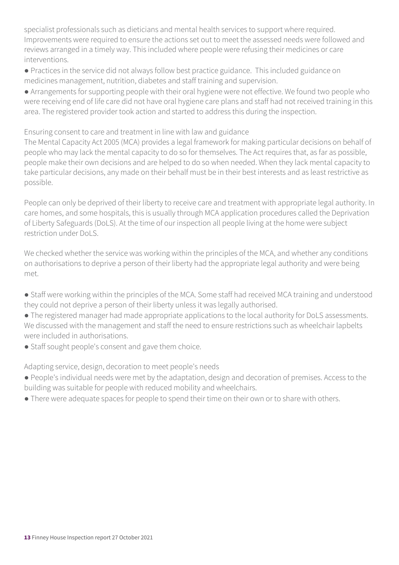specialist professionals such as dieticians and mental health services to support where required. Improvements were required to ensure the actions set out to meet the assessed needs were followed and reviews arranged in a timely way. This included where people were refusing their medicines or care interventions.

● Practices in the service did not always follow best practice guidance. This included guidance on medicines management, nutrition, diabetes and staff training and supervision.

● Arrangements for supporting people with their oral hygiene were not effective. We found two people who were receiving end of life care did not have oral hygiene care plans and staff had not received training in this area. The registered provider took action and started to address this during the inspection.

Ensuring consent to care and treatment in line with law and guidance

The Mental Capacity Act 2005 (MCA) provides a legal framework for making particular decisions on behalf of people who may lack the mental capacity to do so for themselves. The Act requires that, as far as possible, people make their own decisions and are helped to do so when needed. When they lack mental capacity to take particular decisions, any made on their behalf must be in their best interests and as least restrictive as possible.

People can only be deprived of their liberty to receive care and treatment with appropriate legal authority. In care homes, and some hospitals, this is usually through MCA application procedures called the Deprivation of Liberty Safeguards (DoLS). At the time of our inspection all people living at the home were subject restriction under DoLS.

We checked whether the service was working within the principles of the MCA, and whether any conditions on authorisations to deprive a person of their liberty had the appropriate legal authority and were being met.

● Staff were working within the principles of the MCA. Some staff had received MCA training and understood they could not deprive a person of their liberty unless it was legally authorised.

● The registered manager had made appropriate applications to the local authority for DoLS assessments. We discussed with the management and staff the need to ensure restrictions such as wheelchair lapbelts were included in authorisations.

• Staff sought people's consent and gave them choice.

Adapting service, design, decoration to meet people's needs

- People's individual needs were met by the adaptation, design and decoration of premises. Access to the building was suitable for people with reduced mobility and wheelchairs.
- There were adequate spaces for people to spend their time on their own or to share with others.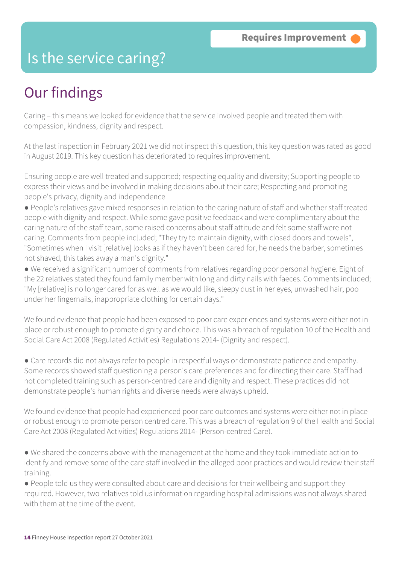### Is the service caring?

### Our findings

Caring – this means we looked for evidence that the service involved people and treated them with compassion, kindness, dignity and respect.

At the last inspection in February 2021 we did not inspect this question, this key question was rated as good in August 2019. This key question has deteriorated to requires improvement.

Ensuring people are well treated and supported; respecting equality and diversity; Supporting people to express their views and be involved in making decisions about their care; Respecting and promoting people's privacy, dignity and independence

● People's relatives gave mixed responses in relation to the caring nature of staff and whether staff treated people with dignity and respect. While some gave positive feedback and were complimentary about the caring nature of the staff team, some raised concerns about staff attitude and felt some staff were not caring. Comments from people included; "They try to maintain dignity, with closed doors and towels", "Sometimes when I visit [relative] looks as if they haven't been cared for, he needs the barber, sometimes not shaved, this takes away a man's dignity."

● We received a significant number of comments from relatives regarding poor personal hygiene. Eight of the 22 relatives stated they found family member with long and dirty nails with faeces. Comments included; "My [relative] is no longer cared for as well as we would like, sleepy dust in her eyes, unwashed hair, poo under her fingernails, inappropriate clothing for certain days."

We found evidence that people had been exposed to poor care experiences and systems were either not in place or robust enough to promote dignity and choice. This was a breach of regulation 10 of the Health and Social Care Act 2008 (Regulated Activities) Regulations 2014- (Dignity and respect).

● Care records did not always refer to people in respectful ways or demonstrate patience and empathy. Some records showed staff questioning a person's care preferences and for directing their care. Staff had not completed training such as person-centred care and dignity and respect. These practices did not demonstrate people's human rights and diverse needs were always upheld.

We found evidence that people had experienced poor care outcomes and systems were either not in place or robust enough to promote person centred care. This was a breach of regulation 9 of the Health and Social Care Act 2008 (Regulated Activities) Regulations 2014- (Person-centred Care).

● We shared the concerns above with the management at the home and they took immediate action to identify and remove some of the care staff involved in the alleged poor practices and would review their staff training.

● People told us they were consulted about care and decisions for their wellbeing and support they required. However, two relatives told us information regarding hospital admissions was not always shared with them at the time of the event.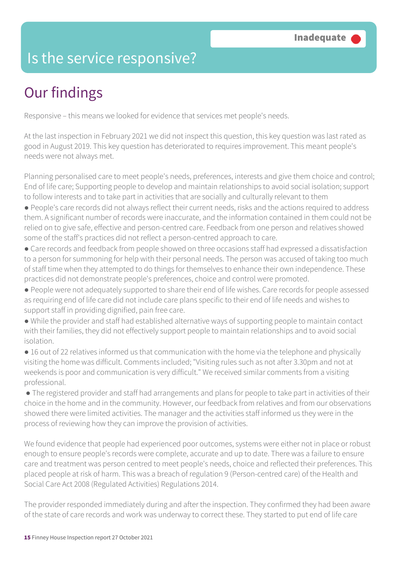### Is the service responsive?

## Our findings

Responsive – this means we looked for evidence that services met people's needs.

At the last inspection in February 2021 we did not inspect this question, this key question was last rated as good in August 2019. This key question has deteriorated to requires improvement. This meant people's needs were not always met.

Planning personalised care to meet people's needs, preferences, interests and give them choice and control; End of life care; Supporting people to develop and maintain relationships to avoid social isolation; support to follow interests and to take part in activities that are socially and culturally relevant to them

- People's care records did not always reflect their current needs, risks and the actions required to address them. A significant number of records were inaccurate, and the information contained in them could not be relied on to give safe, effective and person-centred care. Feedback from one person and relatives showed some of the staff's practices did not reflect a person-centred approach to care.
- Care records and feedback from people showed on three occasions staff had expressed a dissatisfaction to a person for summoning for help with their personal needs. The person was accused of taking too much of staff time when they attempted to do things for themselves to enhance their own independence. These practices did not demonstrate people's preferences, choice and control were promoted.
- People were not adequately supported to share their end of life wishes. Care records for people assessed as requiring end of life care did not include care plans specific to their end of life needs and wishes to support staff in providing dignified, pain free care.
- While the provider and staff had established alternative ways of supporting people to maintain contact with their families, they did not effectively support people to maintain relationships and to avoid social isolation.
- 16 out of 22 relatives informed us that communication with the home via the telephone and physically visiting the home was difficult. Comments included; "Visiting rules such as not after 3.30pm and not at weekends is poor and communication is very difficult." We received similar comments from a visiting professional.

● The registered provider and staff had arrangements and plans for people to take part in activities of their choice in the home and in the community. However, our feedback from relatives and from our observations showed there were limited activities. The manager and the activities staff informed us they were in the process of reviewing how they can improve the provision of activities.

We found evidence that people had experienced poor outcomes, systems were either not in place or robust enough to ensure people's records were complete, accurate and up to date. There was a failure to ensure care and treatment was person centred to meet people's needs, choice and reflected their preferences. This placed people at risk of harm. This was a breach of regulation 9 (Person-centred care) of the Health and Social Care Act 2008 (Regulated Activities) Regulations 2014.

The provider responded immediately during and after the inspection. They confirmed they had been aware of the state of care records and work was underway to correct these. They started to put end of life care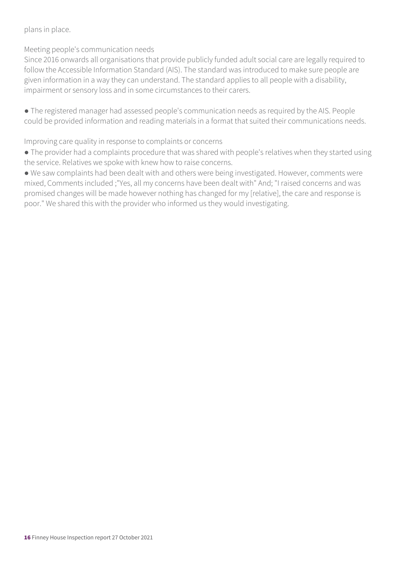plans in place.

Meeting people's communication needs

Since 2016 onwards all organisations that provide publicly funded adult social care are legally required to follow the Accessible Information Standard (AIS). The standard was introduced to make sure people are given information in a way they can understand. The standard applies to all people with a disability, impairment or sensory loss and in some circumstances to their carers.

● The registered manager had assessed people's communication needs as required by the AIS. People could be provided information and reading materials in a format that suited their communications needs.

Improving care quality in response to complaints or concerns

● The provider had a complaints procedure that was shared with people's relatives when they started using the service. Relatives we spoke with knew how to raise concerns.

● We saw complaints had been dealt with and others were being investigated. However, comments were mixed, Comments included ;"Yes, all my concerns have been dealt with" And; "I raised concerns and was promised changes will be made however nothing has changed for my [relative], the care and response is poor." We shared this with the provider who informed us they would investigating.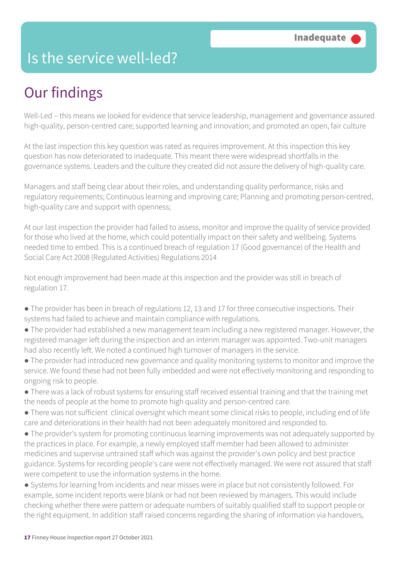### Is the service well-led?

### Our findings

Well-Led – this means we looked for evidence that service leadership, management and governance assured high-quality, person-centred care; supported learning and innovation; and promoted an open, fair culture

At the last inspection this key question was rated as requires improvement. At this inspection this key question has now deteriorated to inadequate. This meant there were widespread shortfalls in the governance systems. Leaders and the culture they created did not assure the delivery of high-quality care.

Managers and staff being clear about their roles, and understanding quality performance, risks and regulatory requirements; Continuous learning and improving care; Planning and promoting person-centred, high-quality care and support with openness;

At our last inspection the provider had failed to assess, monitor and improve the quality of service provided for those who lived at the home, which could potentially impact on their safety and wellbeing. Systems needed time to embed. This is a continued breach of regulation 17 (Good governance) of the Health and Social Care Act 2008 (Regulated Activities) Regulations 2014

Not enough improvement had been made at this inspection and the provider was still in breach of regulation 17.

- The provider has been in breach of regulations 12, 13 and 17 for three consecutive inspections. Their systems had failed to achieve and maintain compliance with regulations.
- The provider had established a new management team including a new registered manager. However, the registered manager left during the inspection and an interim manager was appointed. Two-unit managers had also recently left. We noted a continued high turnover of managers in the service.
- The provider had introduced new governance and quality monitoring systems to monitor and improve the service. We found these had not been fully imbedded and were not effectively monitoring and responding to ongoing risk to people.
- There was a lack of robust systems for ensuring staff received essential training and that the training met the needs of people at the home to promote high quality and person-centred care.
- There was not sufficient clinical oversight which meant some clinical risks to people, including end of life care and deteriorations in their health had not been adequately monitored and responded to.
- The provider's system for promoting continuous learning improvements was not adequately supported by the practices in place. For example, a newly employed staff member had been allowed to administer medicines and supervise untrained staff which was against the provider's own policy and best practice guidance. Systems for recording people's care were not effectively managed. We were not assured that staff were competent to use the information systems in the home.
- Systems for learning from incidents and near misses were in place but not consistently followed. For example, some incident reports were blank or had not been reviewed by managers. This would include checking whether there were pattern or adequate numbers of suitably qualified staff to support people or the right equipment. In addition staff raised concerns regarding the sharing of information via handovers,